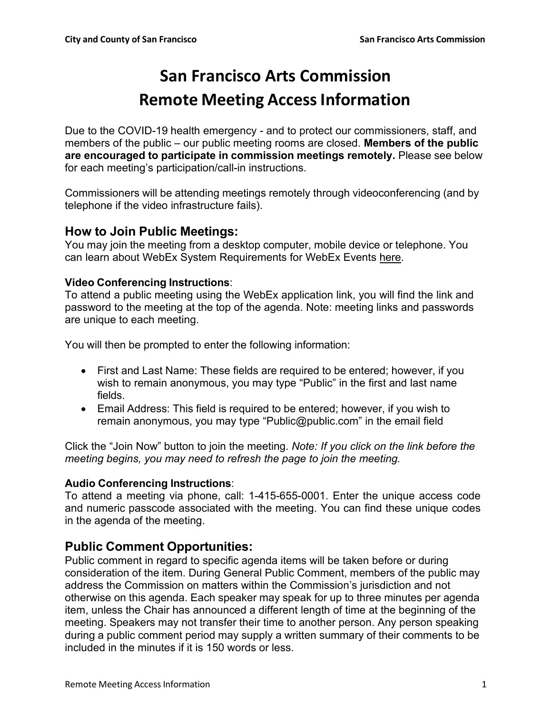# **San Francisco Arts Commission Remote Meeting AccessInformation**

Due to the COVID-19 health emergency - and to protect our commissioners, staff, and members of the public – our public meeting rooms are closed. **Members of the public are encouraged to participate in commission meetings remotely.** Please see below for each meeting's participation/call-in instructions.

Commissioners will be attending meetings remotely through videoconferencing (and by telephone if the video infrastructure fails).

## **How to Join Public Meetings:**

You may join the meeting from a desktop computer, mobile device or telephone. You can learn about WebEx System Requirements for WebEx Events here.

### **Video Conferencing Instructions**:

To attend a public meeting using the WebEx application link, you will find the link and password to the meeting at the top of the agenda. Note: meeting links and passwords are unique to each meeting.

You will then be prompted to enter the following information:

- First and Last Name: These fields are required to be entered; however, if you wish to remain anonymous, you may type "Public" in the first and last name fields.
- Email Address: This field is required to be entered; however, if you wish to remain anonymous, you may type "Public@public.com" in the email field

Click the "Join Now" button to join the meeting. *Note: If you click on the link before the meeting begins, you may need to refresh the page to join the meeting.*

## **Audio Conferencing Instructions**:

To attend a meeting via phone, call: 1-415-655-0001. Enter the unique access code and numeric passcode associated with the meeting. You can find these unique codes in the agenda of the meeting.

## **Public Comment Opportunities:**

Public comment in regard to specific agenda items will be taken before or during consideration of the item. During General Public Comment, members of the public may address the Commission on matters within the Commission's jurisdiction and not otherwise on this agenda. Each speaker may speak for up to three minutes per agenda item, unless the Chair has announced a different length of time at the beginning of the meeting. Speakers may not transfer their time to another person. Any person speaking during a public comment period may supply a written summary of their comments to be included in the minutes if it is 150 words or less.